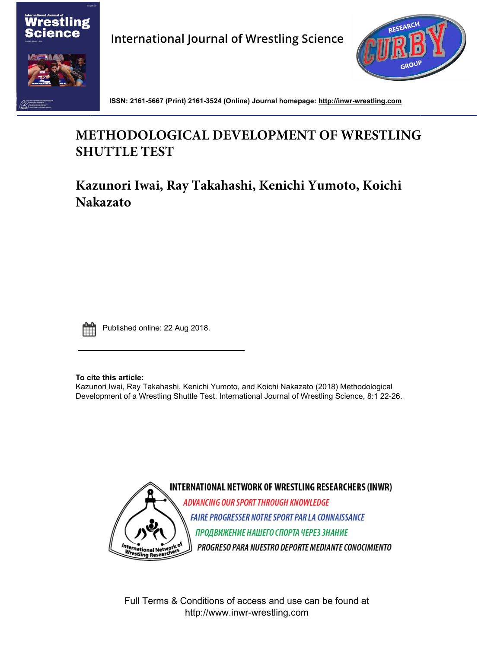

**International Journal of Wrestling Science**



**ISSN: 2161-5667 (Print) 2161-3524 (Online) Journal homepage: http://inwr-wrestling.com**

# **METHODOLOGICAL DEVELOPMENT OF WRESTLING SHUTTLE TEST**

**Kazunori Iwai, Ray Takahashi, Kenichi Yumoto, Koichi Nakazato**



Published online: 22 Aug 2018.

**To cite this article:**

Kazunori Iwai, Ray Takahashi, Kenichi Yumoto, and Koichi Nakazato (2018) Methodological D[evel](http://www.tandfonline.com/doi/mlt/10.1080/21615667.2017.1394402)opment of a Wrestling Shuttle Test. International Journal of Wrestling Science, 8:1 22-26.



Full Terms & Conditions of access and use can be found at [http://www.inwr-wrestling.com](http://www.tandfonline.com/action/journalInformation?journalCode=uijw20)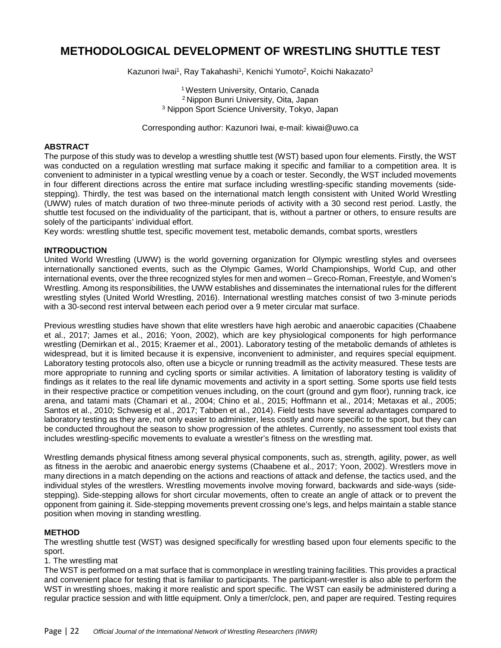## **METHODOLOGICAL DEVELOPMENT OF WRESTLING SHUTTLE TEST**

Kazunori Iwai<sup>1</sup>, Ray Takahashi<sup>1</sup>, Kenichi Yumoto<sup>2</sup>, Koichi Nakazato<sup>3</sup>

1 Western University, Ontario, Canada 2 Nippon Bunri University, Oita, Japan <sup>3</sup> Nippon Sport Science University, Tokyo, Japan

Corresponding author: Kazunori Iwai, e-mail: kiwai@uwo.ca

#### **ABSTRACT**

The purpose of this study was to develop a wrestling shuttle test (WST) based upon four elements. Firstly, the WST was conducted on a regulation wrestling mat surface making it specific and familiar to a competition area. It is convenient to administer in a typical wrestling venue by a coach or tester. Secondly, the WST included movements in four different directions across the entire mat surface including wrestling-specific standing movements (sidestepping). Thirdly, the test was based on the international match length consistent with United World Wrestling (UWW) rules of match duration of two three-minute periods of activity with a 30 second rest period. Lastly, the shuttle test focused on the individuality of the participant, that is, without a partner or others, to ensure results are solely of the participants' individual effort.

Key words: wrestling shuttle test, specific movement test, metabolic demands, combat sports, wrestlers

#### **INTRODUCTION**

United World Wrestling (UWW) is the world governing organization for Olympic wrestling styles and oversees internationally sanctioned events, such as the Olympic Games, World Championships, World Cup, and other international events, over the three recognized styles for men and women – Greco-Roman, Freestyle, and Women's Wrestling. Among its responsibilities, the UWW establishes and disseminates the international rules for the different wrestling styles (United World Wrestling, 2016). International wrestling matches consist of two 3-minute periods with a 30-second rest interval between each period over a 9 meter circular mat surface.

Previous wrestling studies have shown that elite wrestlers have high aerobic and anaerobic capacities (Chaabene et al., 2017; James et al., 2016; Yoon, 2002), which are key physiological components for high performance wrestling (Demirkan et al., 2015; Kraemer et al., 2001). Laboratory testing of the metabolic demands of athletes is widespread, but it is limited because it is expensive, inconvenient to administer, and requires special equipment. Laboratory testing protocols also, often use a bicycle or running treadmill as the activity measured. These tests are more appropriate to running and cycling sports or similar activities. A limitation of laboratory testing is validity of findings as it relates to the real life dynamic movements and activity in a sport setting. Some sports use field tests in their respective practice or competition venues including, on the court (ground and gym floor), running track, ice arena, and tatami mats (Chamari et al., 2004; Chino et al., 2015; Hoffmann et al., 2014; Metaxas et al., 2005; Santos et al., 2010; Schwesig et al., 2017; Tabben et al., 2014). Field tests have several advantages compared to laboratory testing as they are, not only easier to administer, less costly and more specific to the sport, but they can be conducted throughout the season to show progression of the athletes. Currently, no assessment tool exists that includes wrestling-specific movements to evaluate a wrestler's fitness on the wrestling mat.

Wrestling demands physical fitness among several physical components, such as, strength, agility, power, as well as fitness in the aerobic and anaerobic energy systems (Chaabene et al., 2017; Yoon, 2002). Wrestlers move in many directions in a match depending on the actions and reactions of attack and defense, the tactics used, and the individual styles of the wrestlers. Wrestling movements involve moving forward, backwards and side-ways (sidestepping). Side-stepping allows for short circular movements, often to create an angle of attack or to prevent the opponent from gaining it. Side-stepping movements prevent crossing one's legs, and helps maintain a stable stance position when moving in standing wrestling.

#### **METHOD**

The wrestling shuttle test (WST) was designed specifically for wrestling based upon four elements specific to the sport.

1. The wrestling mat

The WST is performed on a mat surface that is commonplace in wrestling training facilities. This provides a practical and convenient place for testing that is familiar to participants. The participant-wrestler is also able to perform the WST in wrestling shoes, making it more realistic and sport specific. The WST can easily be administered during a regular practice session and with little equipment. Only a timer/clock, pen, and paper are required. Testing requires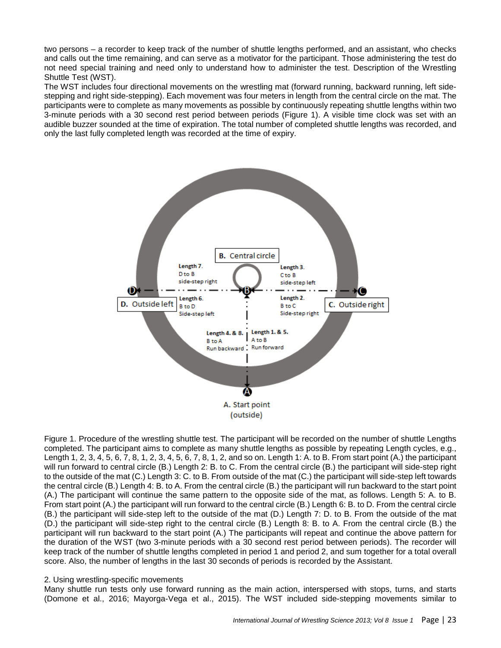two persons – a recorder to keep track of the number of shuttle lengths performed, and an assistant, who checks and calls out the time remaining, and can serve as a motivator for the participant. Those administering the test do not need special training and need only to understand how to administer the test. Description of the Wrestling Shuttle Test (WST).

The WST includes four directional movements on the wrestling mat (forward running, backward running, left sidestepping and right side-stepping). Each movement was four meters in length from the central circle on the mat. The participants were to complete as many movements as possible by continuously repeating shuttle lengths within two 3-minute periods with a 30 second rest period between periods (Figure 1). A visible time clock was set with an audible buzzer sounded at the time of expiration. The total number of completed shuttle lengths was recorded, and only the last fully completed length was recorded at the time of expiry.



Figure 1. Procedure of the wrestling shuttle test. The participant will be recorded on the number of shuttle Lengths completed. The participant aims to complete as many shuttle lengths as possible by repeating Length cycles, e.g., Length 1, 2, 3, 4, 5, 6, 7, 8, 1, 2, 3, 4, 5, 6, 7, 8, 1, 2, and so on. Length 1: A. to B. From start point (A.) the participant will run forward to central circle (B.) Length 2: B. to C. From the central circle (B.) the participant will side-step right to the outside of the mat (C.) Length 3: C. to B. From outside of the mat (C.) the participant will side-step left towards the central circle (B.) Length 4: B. to A. From the central circle (B.) the participant will run backward to the start point (A.) The participant will continue the same pattern to the opposite side of the mat, as follows. Length 5: A. to B. From start point (A.) the participant will run forward to the central circle (B.) Length 6: B. to D. From the central circle (B.) the participant will side-step left to the outside of the mat (D.) Length 7: D. to B. From the outside of the mat (D.) the participant will side-step right to the central circle (B.) Length 8: B. to A. From the central circle (B.) the participant will run backward to the start point (A.) The participants will repeat and continue the above pattern for the duration of the WST (two 3-minute periods with a 30 second rest period between periods). The recorder will keep track of the number of shuttle lengths completed in period 1 and period 2, and sum together for a total overall score. Also, the number of lengths in the last 30 seconds of periods is recorded by the Assistant.

#### 2. Using wrestling-specific movements

Many shuttle run tests only use forward running as the main action, interspersed with stops, turns, and starts (Domone et al., 2016; Mayorga-Vega et al., 2015). The WST included side-stepping movements similar to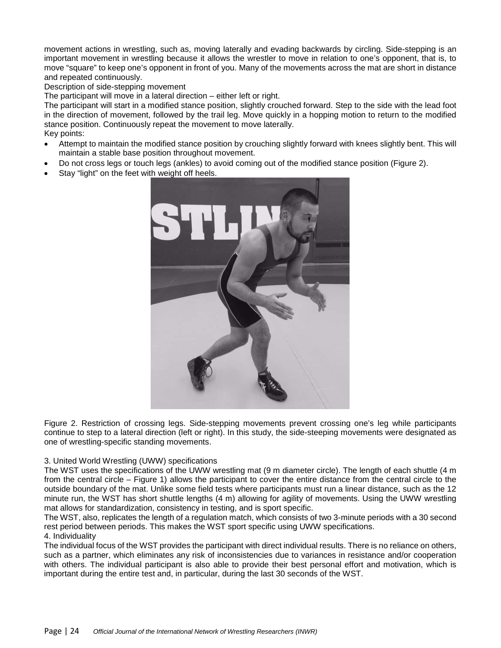movement actions in wrestling, such as, moving laterally and evading backwards by circling. Side-stepping is an important movement in wrestling because it allows the wrestler to move in relation to one's opponent, that is, to move "square" to keep one's opponent in front of you. Many of the movements across the mat are short in distance and repeated continuously.

Description of side-stepping movement

The participant will move in a lateral direction – either left or right.

The participant will start in a modified stance position, slightly crouched forward. Step to the side with the lead foot in the direction of movement, followed by the trail leg. Move quickly in a hopping motion to return to the modified stance position. Continuously repeat the movement to move laterally. Key points:

- Attempt to maintain the modified stance position by crouching slightly forward with knees slightly bent. This will maintain a stable base position throughout movement.
- Do not cross legs or touch legs (ankles) to avoid coming out of the modified stance position (Figure 2).
- Stay "light" on the feet with weight off heels.



Figure 2. Restriction of crossing legs. Side-stepping movements prevent crossing one's leg while participants continue to step to a lateral direction (left or right). In this study, the side-steeping movements were designated as one of wrestling-specific standing movements.

#### 3. United World Wrestling (UWW) specifications

The WST uses the specifications of the UWW wrestling mat (9 m diameter circle). The length of each shuttle (4 m from the central circle – Figure 1) allows the participant to cover the entire distance from the central circle to the outside boundary of the mat. Unlike some field tests where participants must run a linear distance, such as the 12 minute run, the WST has short shuttle lengths (4 m) allowing for agility of movements. Using the UWW wrestling mat allows for standardization, consistency in testing, and is sport specific.

The WST, also, replicates the length of a regulation match, which consists of two 3-minute periods with a 30 second rest period between periods. This makes the WST sport specific using UWW specifications. 4. Individuality

The individual focus of the WST provides the participant with direct individual results. There is no reliance on others, such as a partner, which eliminates any risk of inconsistencies due to variances in resistance and/or cooperation with others. The individual participant is also able to provide their best personal effort and motivation, which is important during the entire test and, in particular, during the last 30 seconds of the WST.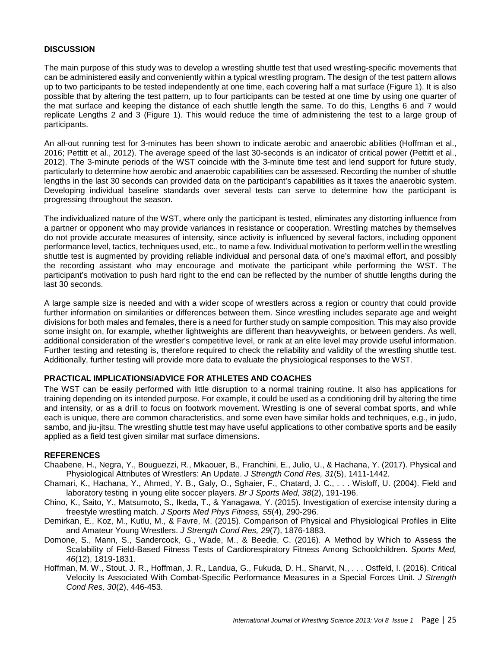#### **DISCUSSION**

The main purpose of this study was to develop a wrestling shuttle test that used wrestling-specific movements that can be administered easily and conveniently within a typical wrestling program. The design of the test pattern allows up to two participants to be tested independently at one time, each covering half a mat surface (Figure 1). It is also possible that by altering the test pattern, up to four participants can be tested at one time by using one quarter of the mat surface and keeping the distance of each shuttle length the same. To do this, Lengths 6 and 7 would replicate Lengths 2 and 3 (Figure 1). This would reduce the time of administering the test to a large group of participants.

An all-out running test for 3-minutes has been shown to indicate aerobic and anaerobic abilities (Hoffman et al., 2016; Pettitt et al., 2012). The average speed of the last 30-seconds is an indicator of critical power (Pettitt et al., 2012). The 3-minute periods of the WST coincide with the 3-minute time test and lend support for future study, particularly to determine how aerobic and anaerobic capabilities can be assessed. Recording the number of shuttle lengths in the last 30 seconds can provided data on the participant's capabilities as it taxes the anaerobic system. Developing individual baseline standards over several tests can serve to determine how the participant is progressing throughout the season.

The individualized nature of the WST, where only the participant is tested, eliminates any distorting influence from a partner or opponent who may provide variances in resistance or cooperation. Wrestling matches by themselves do not provide accurate measures of intensity, since activity is influenced by several factors, including opponent performance level, tactics, techniques used, etc., to name a few. Individual motivation to perform well in the wrestling shuttle test is augmented by providing reliable individual and personal data of one's maximal effort, and possibly the recording assistant who may encourage and motivate the participant while performing the WST. The participant's motivation to push hard right to the end can be reflected by the number of shuttle lengths during the last 30 seconds.

A large sample size is needed and with a wider scope of wrestlers across a region or country that could provide further information on similarities or differences between them. Since wrestling includes separate age and weight divisions for both males and females, there is a need for further study on sample composition. This may also provide some insight on, for example, whether lightweights are different than heavyweights, or between genders. As well, additional consideration of the wrestler's competitive level, or rank at an elite level may provide useful information. Further testing and retesting is, therefore required to check the reliability and validity of the wrestling shuttle test. Additionally, further testing will provide more data to evaluate the physiological responses to the WST.

### **PRACTICAL IMPLICATIONS/ADVICE FOR ATHLETES AND COACHES**

The WST can be easily performed with little disruption to a normal training routine. It also has applications for training depending on its intended purpose. For example, it could be used as a conditioning drill by altering the time and intensity, or as a drill to focus on footwork movement. Wrestling is one of several combat sports, and while each is unique, there are common characteristics, and some even have similar holds and techniques, e.g., in judo, sambo, and jiu-jitsu. The wrestling shuttle test may have useful applications to other combative sports and be easily applied as a field test given similar mat surface dimensions.

#### **REFERENCES**

- Chaabene, H., Negra, Y., Bouguezzi, R., Mkaouer, B., Franchini, E., Julio, U., & Hachana, Y. (2017). Physical and Physiological Attributes of Wrestlers: An Update. *J Strength Cond Res, 31*(5), 1411-1442.
- Chamari, K., Hachana, Y., Ahmed, Y. B., Galy, O., Sghaier, F., Chatard, J. C., . . . Wisloff, U. (2004). Field and laboratory testing in young elite soccer players. *Br J Sports Med, 38*(2), 191-196.
- Chino, K., Saito, Y., Matsumoto, S., Ikeda, T., & Yanagawa, Y. (2015). Investigation of exercise intensity during a freestyle wrestling match. *J Sports Med Phys Fitness, 55*(4), 290-296.
- Demirkan, E., Koz, M., Kutlu, M., & Favre, M. (2015). Comparison of Physical and Physiological Profiles in Elite and Amateur Young Wrestlers. *J Strength Cond Res, 29*(7), 1876-1883.
- Domone, S., Mann, S., Sandercock, G., Wade, M., & Beedie, C. (2016). A Method by Which to Assess the Scalability of Field-Based Fitness Tests of Cardiorespiratory Fitness Among Schoolchildren. *Sports Med, 46*(12), 1819-1831.
- Hoffman, M. W., Stout, J. R., Hoffman, J. R., Landua, G., Fukuda, D. H., Sharvit, N., . . . Ostfeld, I. (2016). Critical Velocity Is Associated With Combat-Specific Performance Measures in a Special Forces Unit. *J Strength Cond Res, 30*(2), 446-453.